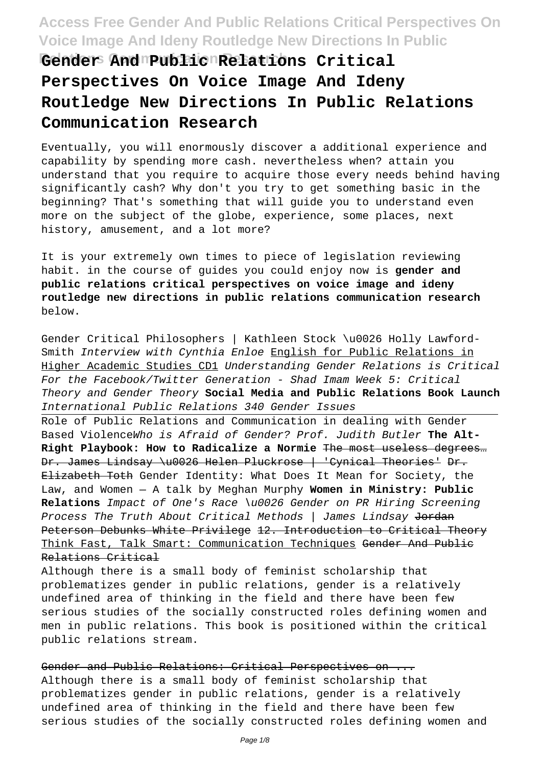**Relations Communication Research Gender And Public Relations Critical Perspectives On Voice Image And Ideny Routledge New Directions In Public Relations Communication Research**

Eventually, you will enormously discover a additional experience and capability by spending more cash. nevertheless when? attain you understand that you require to acquire those every needs behind having significantly cash? Why don't you try to get something basic in the beginning? That's something that will guide you to understand even more on the subject of the globe, experience, some places, next history, amusement, and a lot more?

It is your extremely own times to piece of legislation reviewing habit. in the course of guides you could enjoy now is **gender and public relations critical perspectives on voice image and ideny routledge new directions in public relations communication research** below.

Gender Critical Philosophers | Kathleen Stock \u0026 Holly Lawford-Smith Interview with Cynthia Enloe English for Public Relations in Higher Academic Studies CD1 Understanding Gender Relations is Critical For the Facebook/Twitter Generation - Shad Imam Week 5: Critical Theory and Gender Theory **Social Media and Public Relations Book Launch** International Public Relations 340 Gender Issues

Role of Public Relations and Communication in dealing with Gender Based ViolenceWho is Afraid of Gender? Prof. Judith Butler **The Alt-Right Playbook: How to Radicalize a Normie** The most useless degrees… Dr. James Lindsay \u0026 Helen Pluckrose | 'Cynical Theories' Dr. Elizabeth Toth Gender Identity: What Does It Mean for Society, the Law, and Women — A talk by Meghan Murphy **Women in Ministry: Public Relations** Impact of One's Race \u0026 Gender on PR Hiring Screening Process The Truth About Critical Methods | James Lindsay Jordan Peterson Debunks White Privilege 12. Introduction to Critical Theory Think Fast, Talk Smart: Communication Techniques Gender And Public Relations Critical

Although there is a small body of feminist scholarship that problematizes gender in public relations, gender is a relatively undefined area of thinking in the field and there have been few serious studies of the socially constructed roles defining women and men in public relations. This book is positioned within the critical public relations stream.

Gender and Public Relations: Critical Perspectives on ... Although there is a small body of feminist scholarship that problematizes gender in public relations, gender is a relatively undefined area of thinking in the field and there have been few serious studies of the socially constructed roles defining women and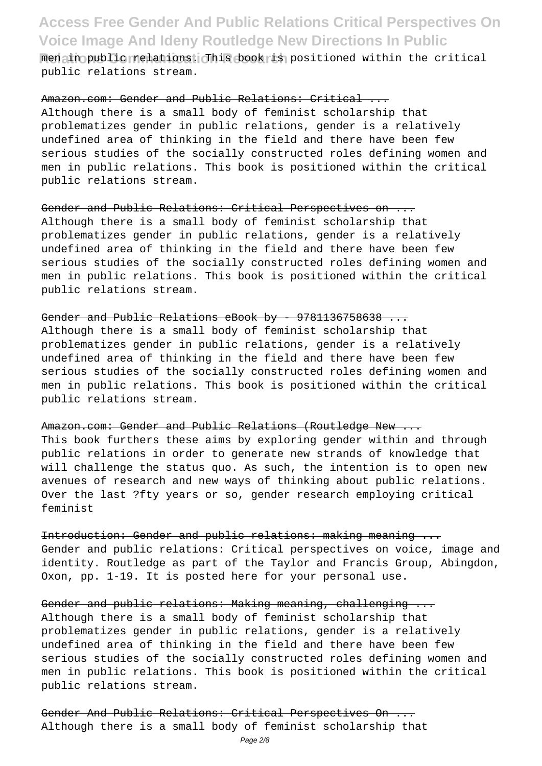**Redain public relations:** This book is positioned within the critical public relations stream.

Amazon.com: Gender and Public Relations: Critical ... Although there is a small body of feminist scholarship that problematizes gender in public relations, gender is a relatively undefined area of thinking in the field and there have been few serious studies of the socially constructed roles defining women and men in public relations. This book is positioned within the critical public relations stream.

#### Gender and Public Relations: Critical Perspectives on ...

Although there is a small body of feminist scholarship that problematizes gender in public relations, gender is a relatively undefined area of thinking in the field and there have been few serious studies of the socially constructed roles defining women and men in public relations. This book is positioned within the critical public relations stream.

#### Gender and Public Relations eBook by - 9781136758638

Although there is a small body of feminist scholarship that problematizes gender in public relations, gender is a relatively undefined area of thinking in the field and there have been few serious studies of the socially constructed roles defining women and men in public relations. This book is positioned within the critical public relations stream.

#### Amazon.com: Gender and Public Relations (Routledge New ...

This book furthers these aims by exploring gender within and through public relations in order to generate new strands of knowledge that will challenge the status quo. As such, the intention is to open new avenues of research and new ways of thinking about public relations. Over the last ?fty years or so, gender research employing critical feminist

Introduction: Gender and public relations: making meaning ... Gender and public relations: Critical perspectives on voice, image and identity. Routledge as part of the Taylor and Francis Group, Abingdon, Oxon, pp. 1-19. It is posted here for your personal use.

Gender and public relations: Making meaning, challenging ... Although there is a small body of feminist scholarship that problematizes gender in public relations, gender is a relatively undefined area of thinking in the field and there have been few serious studies of the socially constructed roles defining women and men in public relations. This book is positioned within the critical public relations stream.

Gender And Public Relations: Critical Perspectives On ... Although there is a small body of feminist scholarship that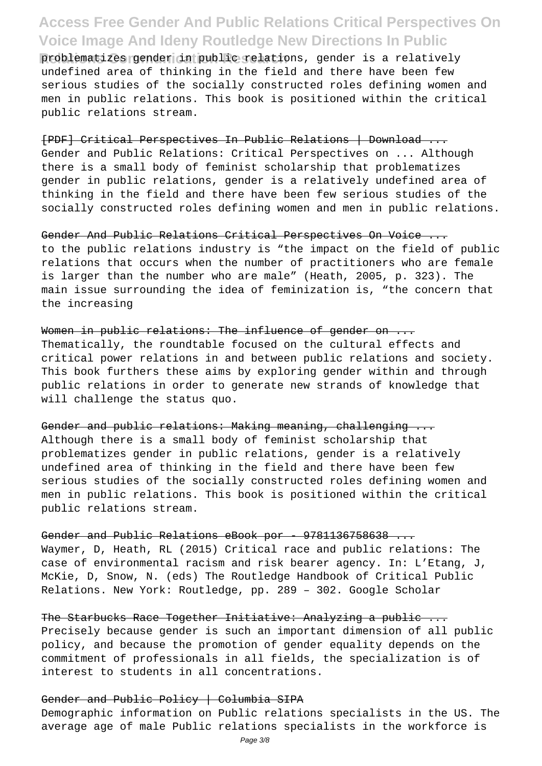problematizes gender in public relations, gender is a relatively undefined area of thinking in the field and there have been few serious studies of the socially constructed roles defining women and men in public relations. This book is positioned within the critical public relations stream.

[PDF] Critical Perspectives In Public Relations | Download ... Gender and Public Relations: Critical Perspectives on ... Although there is a small body of feminist scholarship that problematizes gender in public relations, gender is a relatively undefined area of thinking in the field and there have been few serious studies of the socially constructed roles defining women and men in public relations.

Gender And Public Relations Critical Perspectives On Voice ... to the public relations industry is "the impact on the field of public relations that occurs when the number of practitioners who are female is larger than the number who are male" (Heath, 2005, p. 323). The main issue surrounding the idea of feminization is, "the concern that the increasing

Women in public relations: The influence of gender on ... Thematically, the roundtable focused on the cultural effects and critical power relations in and between public relations and society. This book furthers these aims by exploring gender within and through public relations in order to generate new strands of knowledge that will challenge the status quo.

Gender and public relations: Making meaning, challenging ... Although there is a small body of feminist scholarship that problematizes gender in public relations, gender is a relatively undefined area of thinking in the field and there have been few serious studies of the socially constructed roles defining women and men in public relations. This book is positioned within the critical public relations stream.

Gender and Public Relations eBook por - 9781136758638 ... Waymer, D, Heath, RL (2015) Critical race and public relations: The case of environmental racism and risk bearer agency. In: L'Etang, J, McKie, D, Snow, N. (eds) The Routledge Handbook of Critical Public Relations. New York: Routledge, pp. 289 – 302. Google Scholar

The Starbucks Race Together Initiative: Analyzing a public ... Precisely because gender is such an important dimension of all public policy, and because the promotion of gender equality depends on the commitment of professionals in all fields, the specialization is of interest to students in all concentrations.

Gender and Public Policy | Columbia SIPA Demographic information on Public relations specialists in the US. The average age of male Public relations specialists in the workforce is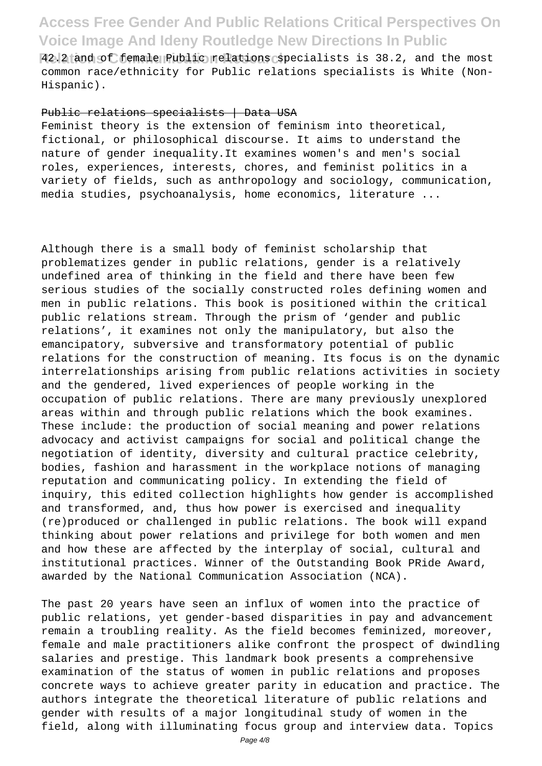**Relations Communication Research** 42.2 and of female Public relations specialists is 38.2, and the most common race/ethnicity for Public relations specialists is White (Non-Hispanic).

#### Public relations specialists | Data USA

Feminist theory is the extension of feminism into theoretical, fictional, or philosophical discourse. It aims to understand the nature of gender inequality.It examines women's and men's social roles, experiences, interests, chores, and feminist politics in a variety of fields, such as anthropology and sociology, communication, media studies, psychoanalysis, home economics, literature ...

Although there is a small body of feminist scholarship that problematizes gender in public relations, gender is a relatively undefined area of thinking in the field and there have been few serious studies of the socially constructed roles defining women and men in public relations. This book is positioned within the critical public relations stream. Through the prism of 'gender and public relations', it examines not only the manipulatory, but also the emancipatory, subversive and transformatory potential of public relations for the construction of meaning. Its focus is on the dynamic interrelationships arising from public relations activities in society and the gendered, lived experiences of people working in the occupation of public relations. There are many previously unexplored areas within and through public relations which the book examines. These include: the production of social meaning and power relations advocacy and activist campaigns for social and political change the negotiation of identity, diversity and cultural practice celebrity, bodies, fashion and harassment in the workplace notions of managing reputation and communicating policy. In extending the field of inquiry, this edited collection highlights how gender is accomplished and transformed, and, thus how power is exercised and inequality (re)produced or challenged in public relations. The book will expand thinking about power relations and privilege for both women and men and how these are affected by the interplay of social, cultural and institutional practices. Winner of the Outstanding Book PRide Award, awarded by the National Communication Association (NCA).

The past 20 years have seen an influx of women into the practice of public relations, yet gender-based disparities in pay and advancement remain a troubling reality. As the field becomes feminized, moreover, female and male practitioners alike confront the prospect of dwindling salaries and prestige. This landmark book presents a comprehensive examination of the status of women in public relations and proposes concrete ways to achieve greater parity in education and practice. The authors integrate the theoretical literature of public relations and gender with results of a major longitudinal study of women in the field, along with illuminating focus group and interview data. Topics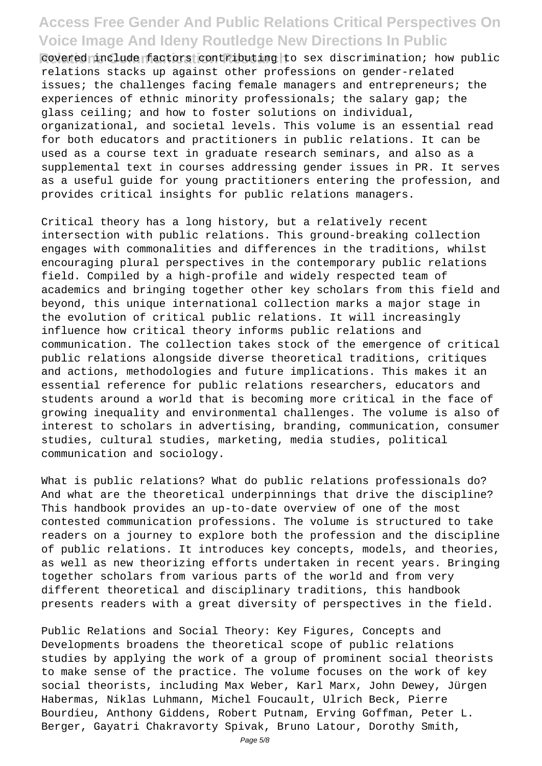Relation Relations Contributing to sex discrimination; how public relations stacks up against other professions on gender-related issues; the challenges facing female managers and entrepreneurs; the experiences of ethnic minority professionals; the salary gap; the glass ceiling; and how to foster solutions on individual, organizational, and societal levels. This volume is an essential read for both educators and practitioners in public relations. It can be used as a course text in graduate research seminars, and also as a supplemental text in courses addressing gender issues in PR. It serves as a useful guide for young practitioners entering the profession, and provides critical insights for public relations managers.

Critical theory has a long history, but a relatively recent intersection with public relations. This ground-breaking collection engages with commonalities and differences in the traditions, whilst encouraging plural perspectives in the contemporary public relations field. Compiled by a high-profile and widely respected team of academics and bringing together other key scholars from this field and beyond, this unique international collection marks a major stage in the evolution of critical public relations. It will increasingly influence how critical theory informs public relations and communication. The collection takes stock of the emergence of critical public relations alongside diverse theoretical traditions, critiques and actions, methodologies and future implications. This makes it an essential reference for public relations researchers, educators and students around a world that is becoming more critical in the face of growing inequality and environmental challenges. The volume is also of interest to scholars in advertising, branding, communication, consumer studies, cultural studies, marketing, media studies, political communication and sociology.

What is public relations? What do public relations professionals do? And what are the theoretical underpinnings that drive the discipline? This handbook provides an up-to-date overview of one of the most contested communication professions. The volume is structured to take readers on a journey to explore both the profession and the discipline of public relations. It introduces key concepts, models, and theories, as well as new theorizing efforts undertaken in recent years. Bringing together scholars from various parts of the world and from very different theoretical and disciplinary traditions, this handbook presents readers with a great diversity of perspectives in the field.

Public Relations and Social Theory: Key Figures, Concepts and Developments broadens the theoretical scope of public relations studies by applying the work of a group of prominent social theorists to make sense of the practice. The volume focuses on the work of key social theorists, including Max Weber, Karl Marx, John Dewey, Jürgen Habermas, Niklas Luhmann, Michel Foucault, Ulrich Beck, Pierre Bourdieu, Anthony Giddens, Robert Putnam, Erving Goffman, Peter L. Berger, Gayatri Chakravorty Spivak, Bruno Latour, Dorothy Smith,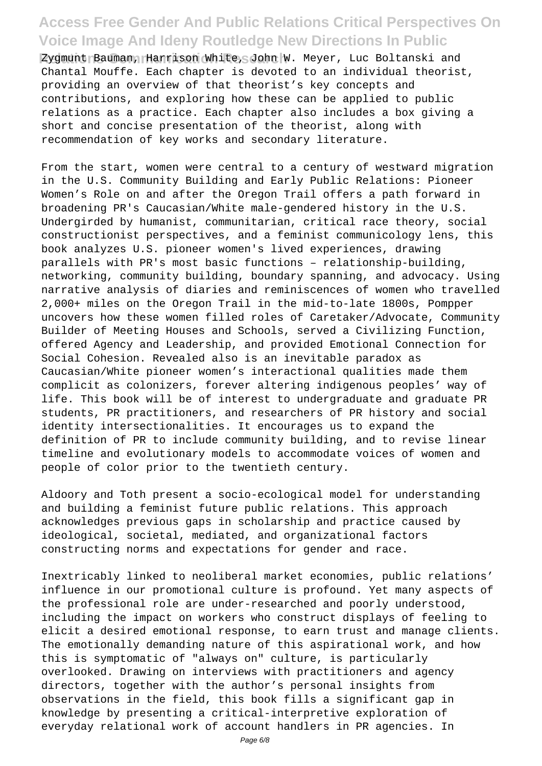Zygmunt Bauman, Harrison White, John W. Meyer, Luc Boltanski and Chantal Mouffe. Each chapter is devoted to an individual theorist, providing an overview of that theorist's key concepts and contributions, and exploring how these can be applied to public relations as a practice. Each chapter also includes a box giving a short and concise presentation of the theorist, along with recommendation of key works and secondary literature.

From the start, women were central to a century of westward migration in the U.S. Community Building and Early Public Relations: Pioneer Women's Role on and after the Oregon Trail offers a path forward in broadening PR's Caucasian/White male-gendered history in the U.S. Undergirded by humanist, communitarian, critical race theory, social constructionist perspectives, and a feminist communicology lens, this book analyzes U.S. pioneer women's lived experiences, drawing parallels with PR's most basic functions – relationship-building, networking, community building, boundary spanning, and advocacy. Using narrative analysis of diaries and reminiscences of women who travelled 2,000+ miles on the Oregon Trail in the mid-to-late 1800s, Pompper uncovers how these women filled roles of Caretaker/Advocate, Community Builder of Meeting Houses and Schools, served a Civilizing Function, offered Agency and Leadership, and provided Emotional Connection for Social Cohesion. Revealed also is an inevitable paradox as Caucasian/White pioneer women's interactional qualities made them complicit as colonizers, forever altering indigenous peoples' way of life. This book will be of interest to undergraduate and graduate PR students, PR practitioners, and researchers of PR history and social identity intersectionalities. It encourages us to expand the definition of PR to include community building, and to revise linear timeline and evolutionary models to accommodate voices of women and people of color prior to the twentieth century.

Aldoory and Toth present a socio-ecological model for understanding and building a feminist future public relations. This approach acknowledges previous gaps in scholarship and practice caused by ideological, societal, mediated, and organizational factors constructing norms and expectations for gender and race.

Inextricably linked to neoliberal market economies, public relations' influence in our promotional culture is profound. Yet many aspects of the professional role are under-researched and poorly understood, including the impact on workers who construct displays of feeling to elicit a desired emotional response, to earn trust and manage clients. The emotionally demanding nature of this aspirational work, and how this is symptomatic of "always on" culture, is particularly overlooked. Drawing on interviews with practitioners and agency directors, together with the author's personal insights from observations in the field, this book fills a significant gap in knowledge by presenting a critical-interpretive exploration of everyday relational work of account handlers in PR agencies. In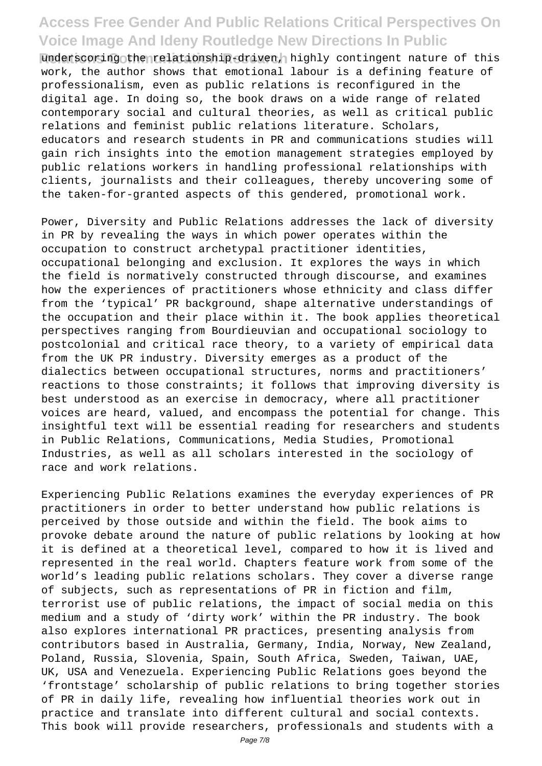**Relative Communications Communicationship-driven, highly contingent nature of this** work, the author shows that emotional labour is a defining feature of professionalism, even as public relations is reconfigured in the digital age. In doing so, the book draws on a wide range of related contemporary social and cultural theories, as well as critical public relations and feminist public relations literature. Scholars, educators and research students in PR and communications studies will gain rich insights into the emotion management strategies employed by public relations workers in handling professional relationships with clients, journalists and their colleagues, thereby uncovering some of the taken-for-granted aspects of this gendered, promotional work.

Power, Diversity and Public Relations addresses the lack of diversity in PR by revealing the ways in which power operates within the occupation to construct archetypal practitioner identities, occupational belonging and exclusion. It explores the ways in which the field is normatively constructed through discourse, and examines how the experiences of practitioners whose ethnicity and class differ from the 'typical' PR background, shape alternative understandings of the occupation and their place within it. The book applies theoretical perspectives ranging from Bourdieuvian and occupational sociology to postcolonial and critical race theory, to a variety of empirical data from the UK PR industry. Diversity emerges as a product of the dialectics between occupational structures, norms and practitioners' reactions to those constraints; it follows that improving diversity is best understood as an exercise in democracy, where all practitioner voices are heard, valued, and encompass the potential for change. This insightful text will be essential reading for researchers and students in Public Relations, Communications, Media Studies, Promotional Industries, as well as all scholars interested in the sociology of race and work relations.

Experiencing Public Relations examines the everyday experiences of PR practitioners in order to better understand how public relations is perceived by those outside and within the field. The book aims to provoke debate around the nature of public relations by looking at how it is defined at a theoretical level, compared to how it is lived and represented in the real world. Chapters feature work from some of the world's leading public relations scholars. They cover a diverse range of subjects, such as representations of PR in fiction and film, terrorist use of public relations, the impact of social media on this medium and a study of 'dirty work' within the PR industry. The book also explores international PR practices, presenting analysis from contributors based in Australia, Germany, India, Norway, New Zealand, Poland, Russia, Slovenia, Spain, South Africa, Sweden, Taiwan, UAE, UK, USA and Venezuela. Experiencing Public Relations goes beyond the 'frontstage' scholarship of public relations to bring together stories of PR in daily life, revealing how influential theories work out in practice and translate into different cultural and social contexts. This book will provide researchers, professionals and students with a